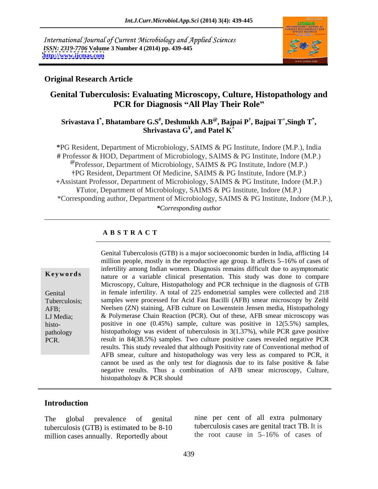International Journal of Current Microbiology and Applied Sciences *ISSN: 2319-7706* **Volume 3 Number 4 (2014) pp. 439-445 <http://www.ijcmas.com>**



## **Original Research Article**

# **Genital Tuberculosis: Evaluating Microscopy, Culture, Histopathology and PCR for Diagnosis All Play Their Role**

### **Srivastava I\* , Bhatambare G.S# , Deshmukh A.B@, Bajpai P , Bajpai T<sup>+</sup> , Shrivastava G¥ ,Singh T\* , and Patel K<sup>+</sup>**

**\***PG Resident, Department of Microbiology, SAIMS & PG Institute, Indore (M.P.), India **#** Professor & HOD, Department of Microbiology, SAIMS & PG Institute, Indore (M.P.) **@**Professor, Department of Microbiology, SAIMS & PG Institute, Indore (M.P.) PG Resident, Department Of Medicine, SAIMS & PG Institute, Indore (M.P.) **+**Assistant Professor, Department of Microbiology, SAIMS & PG Institute, Indore (M.P.) ¥Tutor, Department of Microbiology, SAIMS & PG Institute, Indore (M.P.) \*Corresponding author, Department of Microbiology, SAIMS & PG Institute, Indore (M.P.), *\*Corresponding author*

### **A B S T R A C T**

**Keywords** nature or a variable clinical presentation. This study was done to compare Genital in female infertility. A total of 225 endometrial samples were collected and 218 Tuberculosis; samples were processed for Acid Fast Bacilli (AFB) smear microscopy by Zeihl AFB; Neelsen (ZN) staining, AFB culture on Lowenstein Jensen media, Histopathology LJ Media; & Polymerase Chain Reaction (PCR). Out of these, AFB smear microscopy was histo- positive in one (0.45%) sample, culture was positive in 12(5.5%) samples, pathology histopathology was evident of tuberculosis in 3(1.37%), while PCR gave positive Genital Tuberculosis (GTB) is a major socioeconomic burden in India, afflicting 14<br>
million people, mostly in the reproductive age group. It affects 5–16% of cases of<br>
infertility among Indian women. Diagnosis remains diff million people, mostly in the reproductive age group. It affects 5–16% of cases of infertility among Indian women. Diagnosis remains difficult due to asymptomatic Microscopy, Culture, Histopathology and PCR technique in the diagnosis of GTB result in 84(38.5%) samples. Two culture positive cases revealed negative PCR results. This study revealed that although Positivity rate of Conventional method of AFB smear, culture and histopathology was very less as compared to PCR, it cannot be used as the only test for diagnosis due to its false positive & false negative results. Thus a combination of AFB smear microscopy, Culture, histopathology & PCR should

# **Introduction**

tuberculosis (GTB) is estimated to be  $8-10$  tuberculosis cases are genital tract TB. It is<br>million cases annually Reportedly about the root cause in  $5-16\%$  of cases of million cases annually. Reportedly about

The global prevalence of genital nine per cent of all extra pulmonary tuberculosis cases are genital tract TB. It is the root cause in  $5{\text -}16\%$  of cases of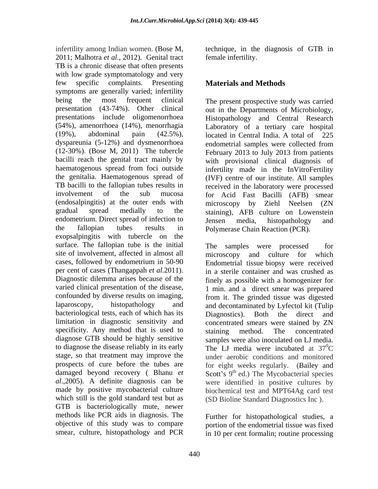infertility among Indian women. (Bose M, technique, in the diagnosis of GTB in 2011; Malhotra *et al*., 2012). Genital tract TB is a chronic disease that often presents with low grade symptomatology and very few specific complaints. Presenting **Materials and Methods** symptoms are generally varied; infertility being the most frequent clinical The present prospective study was carried presentation (43-74%). Other clinical out in the Departments of Microbiology, presentations include oligomenorrhoea (54%), amenorrhoea (14%), menorrhagia Laboratory of a tertiary care hospital (19%), abdominal pain (42.5%), located in Central India. A total of 225 dyspareunia (5-12%) and dysmenorrhoea (12-30%). (Bose M, 2011) The tubercle February 2013 to July 2013 from patients bacilli reach the genital tract mainly by with provisional clinical diagnosis of haematogenous spread from foci outside the genitalia. Haematogenous spread of (IVF) centre of our institute. All samples TB bacilli to the fallopian tubes results in received in the laboratory were processed involvement of the sub mucosa for Acid Fast Bacilli (AFB) smear (endosalpingitis) at the outer ends with gradual spread medially to the staining), AFB culture on Lowenstein endometrium. Direct spread of infection to Jensen media, histopathology and the fallopian tubes results in Polymerase Chain Reaction (PCR). exopsalpingitis with tubercle on the surface. The fallopian tube is the initial The samples were processed for site of involvement, affected in almost all microscopy and culture for which cases, followed by endometrium in 50-90 Endometrial tissue biopsy were received per cent of cases (Thangappah *et al.*2011). in a sterile container and was crushed as Diagnostic dilemma arises because of the finely as possible with a homogenizer for varied clinical presentation of the disease, 1 min. and a direct smear was prepared confounded by diverse results on imaging, from it. The grinded tissue was digested laparoscopy, histopathology and and decontaminated by Lyfectol kit (Tulip bacteriological tests, each of which has its Diagnostics). Both the direct and limitation in diagnostic sensitivity and specificity. Any method that is used to staining method. The concentrated diagnose GTB should be highly sensitive samples were also inoculated on LJ media. to diagnose the disease reliably in its early The LJ media were incubated at  $37^{\circ}$ C stage, so that treatment may improve the under aerobic conditions and monitored prospects of cure before the tubes are for eight weeks regularly. (Bailey and damaged beyond recovery (Bhanu et Scott's 9<sup>th</sup> ed.) The Mycobacterial species *al*.,2005). A definite diagnosis can be were identified in positive cultures by made by positive mycobacterial culture biochemical test and MPT64Ag card test which still is the gold standard test but as GTB is bacteriologically mute, newer methods like PCR aids in diagnosis. The objective of this study was to compare portion of the endometrial tissue was fixed

female infertility.

# **Materials and Methods**

Histopathology and Central Research endometrial samples were collected from infertility made in the InVitroFertility microscopy by Ziehl Neelsen (ZN Jensen media, histopathology and

The samples were processed microscopy and culture for which Diagnostics). Both the direct and concentrated smears were stained by ZN staining method. The concentrated  ${}^{0}C$ (SD Bioline Standard Diagnostics Inc ).

smear, culture, histopathology and PCR in 10 per cent formalin; routine processing Further for histopathological studies, a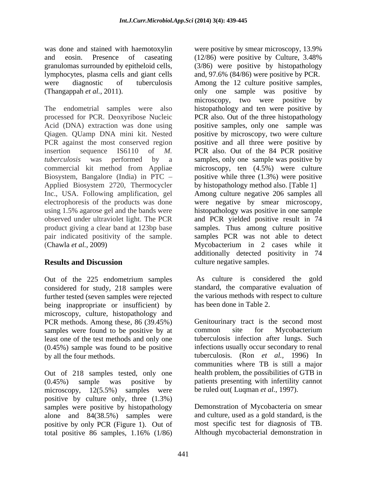and eosin. Presence of caseating (12/86) were positive by Culture, 3.48% lymphocytes, plasma cells and giant cells

The endometrial samples were also histopathology and ten were positive by processed for PCR. Deoxyribose Nucleic PCR also. Out of the three histopathology Acid (DNA) extraction was done using positive samples, only one sample was Qiagen. QUamp DNA mini kit. Nested positive by microscopy, two were culture PCR against the most conserved region positive and all three were positive by insertion sequence IS6110 of *M.*  PCR also. Out of the 84 PCR positive *tuberculosis* was performed by a samples, only one sample was positive by commercial kit method from Appliae microscopy, ten (4.5%) were culture Biosystem, Bangalore (India) in PTC – positive while three (1.3%) were positive Applied Biosystem 2720, Thermocycler Inc., USA. Following amplification, gel Among culture negative 206 samples all electrophoresis of the products was done were negative by smear microscopy, using 1.5% agarose gel and the bands were histopathology was positive in one sample observed under ultraviolet light. The PCR and PCR yielded positive result in 74 product giving a clear band at 123bp base samples. Thus among culture positive pair indicated positivity of the sample. Samples PCR was not able to detect

Out of the 225 endometrium samples considered for study, 218 samples were further tested (seven samples were rejected being inappropriate or insufficient) by microscopy, culture, histopathology and PCR methods. Among these, 86 (39.45%) samples were found to be positive by at common site for Mycobacterium least one of the test methods and only one (0.45%) sample was found to be positive

Out of 218 samples tested, only one (0.45%) sample was positive by patients presenting with infertility cannot microscopy, 12(5.5%) samples were be ruled out( Luqman *et al.,* 1997). positive by culture only, three (1.3%) samples were positive by histopathology alone and 84(38.5%) samples were positive by only PCR (Figure 1). Out of total positive 86 samples, 1.16% (1/86)

was done and stained with haemotoxylin were positive by smear microscopy, 13.9% granulomas surrounded by epitheloid cells, (3/86) were positive by histopathology were diagnostic of tuberculosis Among the 12 culture positive samples, (Thangappah *et al.*, 2011). Thangappah *et al.*, 2011). Thangappah *et al.*, 2011). (Chawla *et al.,* 2009) Mycobacterium in 2 cases while it **Results and Discussion** culture negative samples. (12/86) were positive by Culture, 3.48% and, 97.6% (84/86) were positive by PCR. microscopy, two were positive by by histopathology method also. [Table 1] additionally detected positivity in 74 culture negative samples.

> As culture is considered the gold standard, the comparative evaluation of the various methods with respect to culture has been done in Table 2.

by all the four methods. tuberculosis. (Ron *et al.,* 1996) In Genitourinary tract is the second most common site for Mycobacterium tuberculosis infection after lungs. Such infections usually occur secondary to renal communities where TB is still a major health problem, the possibilities of GTB in

> Demonstration of Mycobacteria on smear and culture, used as a gold standard, is the most specific test for diagnosis of TB. Although mycobacterial demonstration in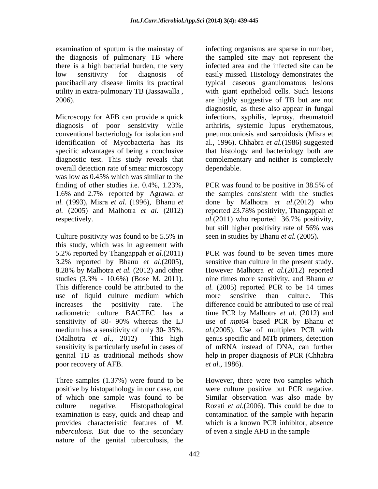the diagnosis of pulmonary TB where there is a high bacterial burden, the very utility in extra-pulmonary TB (Jassawalla ,

specific advantages of being a conclusive overall detection rate of smear microscopy was low as 0.45% which was similar to the finding of other studies i.e. 0.4%, 1.23%, PCR was found to be positive in 38.5% of

this study, which was in agreement with 5.2% reported by Thangappah *et al.*(2011) 3.2% reported by Bhanu *et al.*(2005), sensitive than culture in the present study. 8.28% by Malhotra *et al.* (2012) and other However Malhotra *et al.*(2012) reported studies (3.3% - 10.6%) (Bose M, 2011). Thine times more sensitivity, and Bhanu et This difference could be attributed to the *al.* (2005) reported PCR to be 14 times use of liquid culture medium which more sensitive than culture. This increases the positivity rate. The difference could be attributed to use of real radiometric culture BACTEC has a time PCR by Malhotra *et al.* (2012) and sensitivity of 80- 90% whereas the LJ medium has a sensitivity of only 30- 35%. *al.*(2005). Use of multiplex PCR with (Malhotra *et al*., 2012) This high genus specific and MTb primers, detection sensitivity is particularly useful in cases of of mRNA instead of DNA, can further genital TB as traditional methods show help in proper diagnosis of PCR (Chhabra poor recovery of AFB.  $et al., 1986$ .

*tuberculosis.* But due to the secondary nature of the genital tuberculosis, the

examination of sputum is the mainstay of infecting organisms are sparse in number, low sensitivity for diagnosis of easily missed. Histology demonstrates the paucibacillary disease limits its practical typical caseous granulomatous lesions 2006). are highly suggestive of TB but are not Microscopy for AFB can provide a quick infections, syphilis, leprosy, rheumatoid diagnosis of poor sensitivity while arthriris, systemic lupus erythematous, conventional bacteriology for isolation and pneumoconiosis and sarcoidosis (Misra et identification of Mycobacteria has its al., 1996). Chhabra *et al.*(1986) suggested diagnostic test. This study reveals that complementary and neither is completely the sampled site may not represent the infected area and the infected site can be with giant epitheloid cells. Such lesions diagnostic, as these also appear in fungal that histology and bacteriology both are dependable. The set of the set of the set of the set of the set of the set of the set of the set of the set of the set of the set of the set of the set of the set of the set of the set of the set of the set of the set of t

1.6% and 2.7% reported by Agrawal *et*  the samples consistent with the studies *al.* (1993), Misra *et al.* **(**1996),Bhanu *et*  done by Malhotra *et al*.(2012) who *al.* (2005) and Malhotra *et al.* (2012) reported 23.78% positivity, Thangappah *et*  respectively. <br>
respectively. al. (2011) who reported 36.7% positivity,<br>
but still higher positivity rate of 56% was<br>
culture positivity was found to be 5.5% in seen in studies by Bhanu *et al.* (2005). PCR was found to be positive in 38.5% of *al.*(2011) who reported 36.7% positivity, but still higher positivity rate of 56% was seen in studies by Bhanu *et al.*(2005)**.**

> PCR was found to be seven times more nine times more sensitivity, and Bhanu *et*  more sensitive than culture. This use of *mpt64* based PCR by Bhanu *et et al.,* 1986).

Three samples (1.37%) were found to be However, there were two samples which positive by histopathology in our case, out were culture positive but PCR negative. of which one sample was found to be Similar observation was also made by culture negative. Histopathological Rozati *et al.*(2006). This could be due to examination is easy, quick and cheap and contamination of the sample with heparin provides characteristic features of *M.*  which is a known PCR inhibitor, absence of even a single AFB in the sample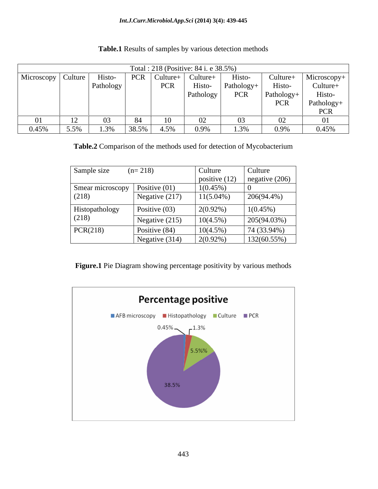### *Int.J.Curr.Microbiol.App.Sci* **(2014) 3(4): 439-445**

| Total : 218 (Positive: 84 i. e 38.5%) |      |           |                |            |                   |              |            |                                         |
|---------------------------------------|------|-----------|----------------|------------|-------------------|--------------|------------|-----------------------------------------|
| Microscopy   Culture                  |      | Histo-    | $PCR$ Culture+ |            | Culture+          | Histo-       |            | Culture+ Microscopy+<br>Histo- Culture+ |
|                                       |      | Pathology |                | <b>PCR</b> | Histo-            | $Pathology+$ |            |                                         |
|                                       |      |           |                |            | $\vert$ Pathology | PCR          | Pathology+ | Histo-                                  |
|                                       |      |           |                |            |                   |              | PCR        | Pathology+                              |
|                                       |      |           |                |            |                   |              |            | <b>PCR</b>                              |
|                                       |      |           |                |            |                   |              |            |                                         |
| 0.45%                                 | 5.5% | 1.3%      | $138.5\%$      | 4.5%       | 0.9%              | 3%           | 0.9%       | 0.45%                                   |

**Table.1** Results of samples by various detection methods

**Table.2** Comparison of the methods used for detection of Mycobacterium

| Sample size                        | $(n=218)$        | Culture         | Culture          |
|------------------------------------|------------------|-----------------|------------------|
|                                    |                  | positive $(12)$ | negative $(206)$ |
| Smear microscopy   Positive $(01)$ |                  | $1(0.45\%)$     |                  |
| (218)                              | Negative $(217)$ | $11(5.04\%)$    | 206(94.4%)       |
| Histopathology                     | Positive $(03)$  | $2(0.92\%)$     | $1(0.45\%)$      |
| (218)                              | Negative $(215)$ | $10(4.5\%)$     | 205(94.03%)      |
| PCR(218)                           | Positive $(84)$  | $10(4.5\%)$     | 74 (33.94%)      |
|                                    | Negative (314)   | $2(0.92\%)$     | 132(60.55%)      |

**Figure.1** Pie Diagram showing percentage positivity by various methods

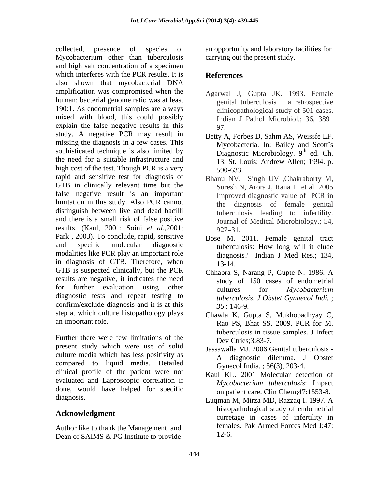collected, presence of species of an opportunity and laboratory facilities for Mycobacterium other than tuberculosis and high salt concentration of a specimen which interferes with the PCR results. It is **References** also shown that mycobacterial DNA amplification was compromised when the human: bacterial genome ratio was at least 190:1. As endometrial samples are always mixed with blood, this could possibly explain the false negative results in this  $q_7$ study. A negative PCR may result in missing the diagnosis in a few cases. This sophisticated technique is also limited by the need for a suitable infrastructure and <br>13. St. Louis: Andrew Allen: 1994. p. high cost of the test. Though PCR is a very 590-633. rapid and sensitive test for diagnosis of GTB in clinically relevant time but the false negative result is an important limitation in this study. Also PCR cannot distinguish between live and dead bacilli and there is a small risk of false positive results. (Kaul, 2001; Soini *et al*.,2001; Park , 2003). To conclude, rapid, sensitive and specific molecular diagnostic tuberculosis: How long will it elude modalities like PCR play an important role in diagnosis of GTB. Therefore, when 13-14. GTB is suspected clinically, but the PCR results are negative, it indicates the need for further evaluation using other  $\qquad$  cultures for *Mycobacterium* diagnostic tests and repeat testing to confirm/exclude diagnosis and it is at this  $36:146-9$ . step at which culture histopathology plays

Further there were few limitations of the  $\rho_{\text{ev}}$  Ctries: 3:83.7 present study which were use of solid culture media which has less positivity as compared to liquid media. Detailed clinical profile of the patient were not evaluated and Laproscopic correlation if done, would have helped for specific

Author like to thank the Management and Dean of SAIMS & PG Institute to provide

carrying out the present study.

# **References**

- Agarwal J, Gupta JK. 1993. Female genital tuberculosis  $-$  a retrospective clinicopathological study of 501 cases. Indian J Pathol Microbiol.; 36, 389 97.
- Betty A, Forbes D, Sahm AS, Weissfe LF. Mycobacteria. In: Bailey and Scott's Diagnostic Microbiology.  $9<sup>th</sup>$  ed. Ch.  $th$  ad  $C<sub>b</sub>$ ed. Ch. 13. St. Louis: Andrew Allen; 1994. p. 590-633.
- Bhanu NV, Singh UV ,Chakraborty M, Suresh N, Arora J, Rana T. et al. 2005 Improved diagnostic value of PCR in the diagnosis of female genital tuberculosis leading to infertility. Journal of Medical Microbiology.; 54,  $927 - 31.$
- Bose M. 2011. Female genital tract diagnosis? Indian J Med Res.; 134, 13-14.
- Chhabra S, Narang P, Gupte N. 1986. A study of 150 cases of endometrial cultures for *Mycobacterium tuberculosis*. *J Obstet Gynaecol Indi.* ; *36* : 146-9.
- an important role. Rao PS, Bhat SS. 2009. PCR for M. Chawla K, Gupta S, Mukhopadhyay C, tuberculosis in tissue samples. J Infect Dev Ctries: 3:83-7.
	- Jassawalla MJ. 2006 Genital tuberculosis A diagnostic dilemma. J Obstet Gynecol India. ; 56(3), 203-4.
	- Kaul KL. 2001 Molecular detection of *Mycobacterium tuberculosis*: Impact on patient care. Clin Chem;47:1553-8.
- diagnosis. Luqman M, Mirza MD, Razzaq I. 1997. A **Acknowledgment** and interesting the curretage in cases of infertility in histopathological study of endometrial females. Pak Armed Forces Med J;47: 12-6.